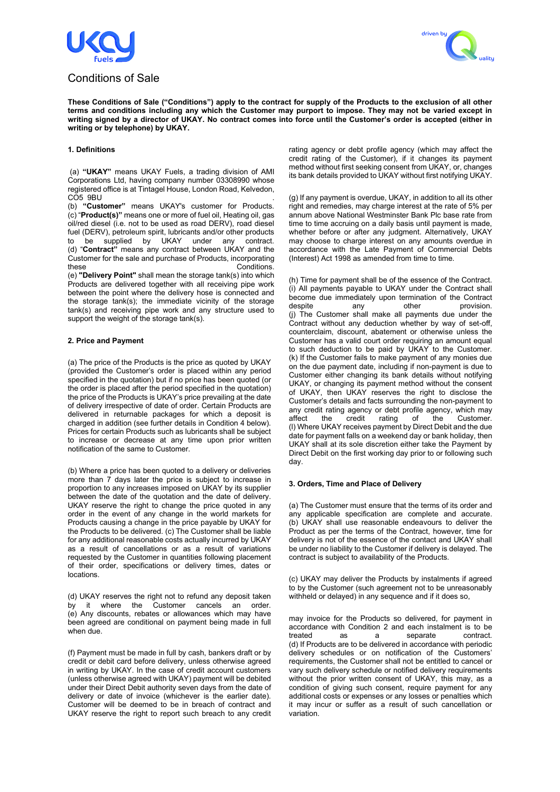

# Conditions of Sale



**These Conditions of Sale ("Conditions") apply to the contract for supply of the Products to the exclusion of all other terms and conditions including any which the Customer may purport to impose. They may not be varied except in writing signed by a director of UKAY. No contract comes into force until the Customer's order is accepted (either in writing or by telephone) by UKAY.** 

# **1. Definitions**

(a) **"UKAY"** means UKAY Fuels, a trading division of AMI Corporations Ltd, having company number 03308990 whose registered office is at Tintagel House, London Road, Kelvedon, CO5 9BU .

(b) **"Customer"** means UKAY's customer for Products. (c) "**Product(s)"** means one or more of fuel oil, Heating oil, gas oil/red diesel (i.e. not to be used as road DERV), road diesel fuel (DERV), petroleum spirit, lubricants and/or other products to be supplied by UKAY under any contract. (d) "**Contract"** means any contract between UKAY and the Customer for the sale and purchase of Products, incorporating these **Conditions**.

(e) **"Delivery Point"** shall mean the storage tank(s) into which Products are delivered together with all receiving pipe work between the point where the delivery hose is connected and the storage tank(s); the immediate vicinity of the storage tank(s) and receiving pipe work and any structure used to support the weight of the storage tank(s).

# **2. Price and Payment**

(a) The price of the Products is the price as quoted by UKAY (provided the Customer's order is placed within any period specified in the quotation) but if no price has been quoted (or the order is placed after the period specified in the quotation) the price of the Products is UKAY's price prevailing at the date of delivery irrespective of date of order. Certain Products are delivered in returnable packages for which a deposit is charged in addition (see further details in Condition 4 below). Prices for certain Products such as lubricants shall be subject to increase or decrease at any time upon prior written notification of the same to Customer.

(b) Where a price has been quoted to a delivery or deliveries more than 7 days later the price is subject to increase in proportion to any increases imposed on UKAY by its supplier between the date of the quotation and the date of delivery. UKAY reserve the right to change the price quoted in any order in the event of any change in the world markets for Products causing a change in the price payable by UKAY for the Products to be delivered. (c) The Customer shall be liable for any additional reasonable costs actually incurred by UKAY as a result of cancellations or as a result of variations requested by the Customer in quantities following placement of their order, specifications or delivery times, dates or locations.

(d) UKAY reserves the right not to refund any deposit taken by it where the Customer cancels an order. (e) Any discounts, rebates or allowances which may have been agreed are conditional on payment being made in full when due.

(f) Payment must be made in full by cash, bankers draft or by credit or debit card before delivery, unless otherwise agreed in writing by UKAY. In the case of credit account customers (unless otherwise agreed with UKAY) payment will be debited under their Direct Debit authority seven days from the date of delivery or date of invoice (whichever is the earlier date). Customer will be deemed to be in breach of contract and UKAY reserve the right to report such breach to any credit rating agency or debt profile agency (which may affect the credit rating of the Customer), if it changes its payment method without first seeking consent from UKAY, or, changes its bank details provided to UKAY without first notifying UKAY.

(g) If any payment is overdue, UKAY, in addition to all its other right and remedies, may charge interest at the rate of 5% per annum above National Westminster Bank Plc base rate from time to time accruing on a daily basis until payment is made, whether before or after any judgment. Alternatively, UKAY may choose to charge interest on any amounts overdue in accordance with the Late Payment of Commercial Debts (Interest) Act 1998 as amended from time to time.

(h) Time for payment shall be of the essence of the Contract. (i) All payments payable to UKAY under the Contract shall become due immediately upon termination of the Contract<br>despite any other provision. despite any other provision. (j) The Customer shall make all payments due under the Contract without any deduction whether by way of set-off, counterclaim, discount, abatement or otherwise unless the Customer has a valid court order requiring an amount equal to such deduction to be paid by UKAY to the Customer. (k) If the Customer fails to make payment of any monies due on the due payment date, including if non-payment is due to Customer either changing its bank details without notifying UKAY, or changing its payment method without the consent of UKAY, then UKAY reserves the right to disclose the Customer's details and facts surrounding the non-payment to any credit rating agency or debt profile agency, which may affect the credit rating of the Customer. affect the credit rating of the Customer. (l) Where UKAY receives payment by Direct Debit and the due date for payment falls on a weekend day or bank holiday, then UKAY shall at its sole discretion either take the Payment by Direct Debit on the first working day prior to or following such day.

# **3. Orders, Time and Place of Delivery**

(a) The Customer must ensure that the terms of its order and any applicable specification are complete and accurate. (b) UKAY shall use reasonable endeavours to deliver the Product as per the terms of the Contract, however, time for delivery is not of the essence of the contact and UKAY shall be under no liability to the Customer if delivery is delayed. The contract is subject to availability of the Products.

(c) UKAY may deliver the Products by instalments if agreed to by the Customer (such agreement not to be unreasonably withheld or delayed) in any sequence and if it does so,

may invoice for the Products so delivered, for payment in accordance with Condition 2 and each instalment is to be treated as a separate contract. (d) If Products are to be delivered in accordance with periodic delivery schedules or on notification of the Customers' requirements, the Customer shall not be entitled to cancel or vary such delivery schedule or notified delivery requirements without the prior written consent of UKAY, this may, as a condition of giving such consent, require payment for any additional costs or expenses or any losses or penalties which it may incur or suffer as a result of such cancellation or variation.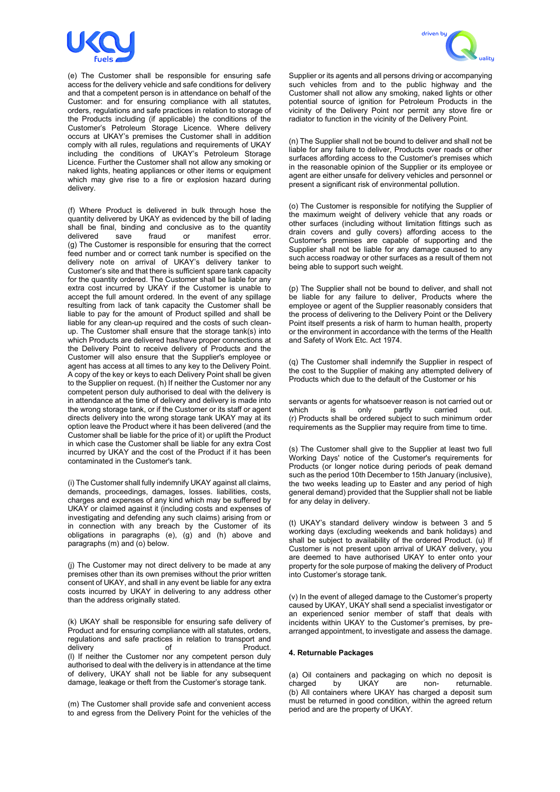

(e) The Customer shall be responsible for ensuring safe access for the delivery vehicle and safe conditions for delivery and that a competent person is in attendance on behalf of the Customer: and for ensuring compliance with all statutes, orders, regulations and safe practices in relation to storage of the Products including (if applicable) the conditions of the Customer's Petroleum Storage Licence. Where delivery occurs at UKAY's premises the Customer shall in addition comply with all rules, regulations and requirements of UKAY including the conditions of UKAY's Petroleum Storage Licence. Further the Customer shall not allow any smoking or naked lights, heating appliances or other items or equipment which may give rise to a fire or explosion hazard during delivery.

(f) Where Product is delivered in bulk through hose the quantity delivered by UKAY as evidenced by the bill of lading shall be final, binding and conclusive as to the quantity delivered save fraud or manifest error. delivered save fraud or manifest error. (g) The Customer is responsible for ensuring that the correct feed number and or correct tank number is specified on the delivery note on arrival of UKAY's delivery tanker to Customer's site and that there is sufficient spare tank capacity for the quantity ordered. The Customer shall be liable for any extra cost incurred by UKAY if the Customer is unable to accept the full amount ordered. In the event of any spillage resulting from lack of tank capacity the Customer shall be liable to pay for the amount of Product spilled and shall be liable for any clean-up required and the costs of such cleanup. The Customer shall ensure that the storage tank(s) into which Products are delivered has/have proper connections at the Delivery Point to receive delivery of Products and the Customer will also ensure that the Supplier's employee or agent has access at all times to any key to the Delivery Point. A copy of the key or keys to each Delivery Point shall be given to the Supplier on request. (h) If neither the Customer nor any competent person duly authorised to deal with the delivery is in attendance at the time of delivery and delivery is made into the wrong storage tank, or if the Customer or its staff or agent directs delivery into the wrong storage tank UKAY may at its option leave the Product where it has been delivered (and the Customer shall be liable for the price of it) or uplift the Product in which case the Customer shall be liable for any extra Cost incurred by UKAY and the cost of the Product if it has been contaminated in the Customer's tank.

(i) The Customer shall fully indemnify UKAY against all claims, demands, proceedings, damages, losses. liabilities, costs, charges and expenses of any kind which may be suffered by UKAY or claimed against it (including costs and expenses of investigating and defending any such claims) arising from or in connection with any breach by the Customer of its obligations in paragraphs (e), (g) and (h) above and paragraphs (m) and (o) below.

(j) The Customer may not direct delivery to be made at any premises other than its own premises without the prior written consent of UKAY, and shall in any event be liable for any extra costs incurred by UKAY in delivering to any address other than the address originally stated.

(k) UKAY shall be responsible for ensuring safe delivery of Product and for ensuring compliance with all statutes, orders, regulations and safe practices in relation to transport and delivery of of Product. (l) If neither the Customer nor any competent person duly authorised to deal with the delivery is in attendance at the time of delivery, UKAY shall not be liable for any subsequent damage, leakage or theft from the Customer's storage tank.

(m) The Customer shall provide safe and convenient access to and egress from the Delivery Point for the vehicles of the



Supplier or its agents and all persons driving or accompanying such vehicles from and to the public highway and the Customer shall not allow any smoking, naked lights or other potential source of ignition for Petroleum Products in the vicinity of the Delivery Point nor permit any stove fire or radiator to function in the vicinity of the Delivery Point.

(n) The Supplier shall not be bound to deliver and shall not be liable for any failure to deliver, Products over roads or other surfaces affording access to the Customer's premises which in the reasonable opinion of the Supplier or its employee or agent are either unsafe for delivery vehicles and personnel or present a significant risk of environmental pollution.

(o) The Customer is responsible for notifying the Supplier of the maximum weight of delivery vehicle that any roads or other surfaces (including without limitation fittings such as drain covers and gully covers) affording access to the Customer's premises are capable of supporting and the Supplier shall not be liable for any damage caused to any such access roadway or other surfaces as a result of them not being able to support such weight.

(p) The Supplier shall not be bound to deliver, and shall not be liable for any failure to deliver, Products where the employee or agent of the Supplier reasonably considers that the process of delivering to the Delivery Point or the Delivery Point itself presents a risk of harm to human health, property or the environment in accordance with the terms of the Health and Safety of Work Etc. Act 1974.

(q) The Customer shall indemnify the Supplier in respect of the cost to the Supplier of making any attempted delivery of Products which due to the default of the Customer or his

servants or agents for whatsoever reason is not carried out or<br>which is only partly carried out. which is only partly carried out. (r) Products shall be ordered subject to such minimum order requirements as the Supplier may require from time to time.

(s) The Customer shall give to the Supplier at least two full Working Days' notice of the Customer's requirements for Products (or longer notice during periods of peak demand such as the period 10th December to 15th January (inclusive), the two weeks leading up to Easter and any period of high general demand) provided that the Supplier shall not be liable for any delay in delivery.

(t) UKAY's standard delivery window is between 3 and 5 working days (excluding weekends and bank holidays) and shall be subject to availability of the ordered Product. (u) If Customer is not present upon arrival of UKAY delivery, you are deemed to have authorised UKAY to enter onto your property for the sole purpose of making the delivery of Product into Customer's storage tank.

(v) In the event of alleged damage to the Customer's property caused by UKAY, UKAY shall send a specialist investigator or an experienced senior member of staff that deals with incidents within UKAY to the Customer's premises, by prearranged appointment, to investigate and assess the damage.

# **4. Returnable Packages**

(a) Oil containers and packaging on which no deposit is charged by UKAY are non- returnable. charged by UKAY are non- returnable. (b) All containers where UKAY has charged a deposit sum must be returned in good condition, within the agreed return period and are the property of UKAY.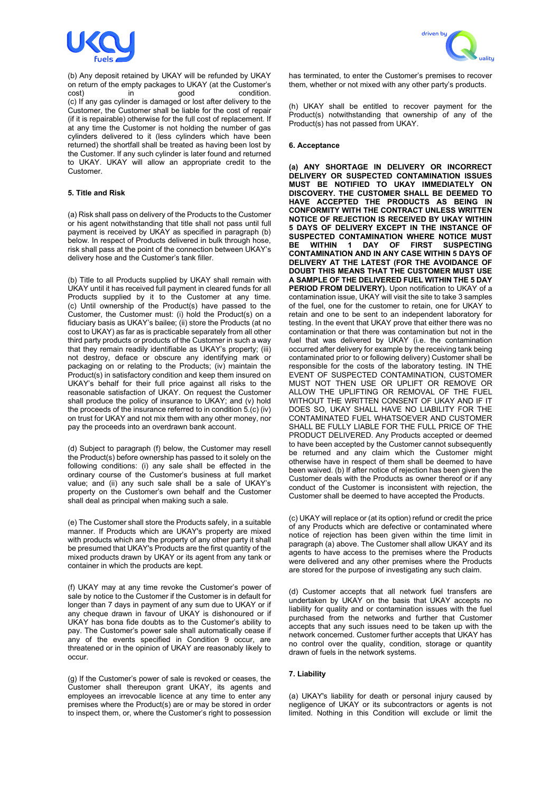

(b) Any deposit retained by UKAY will be refunded by UKAY on return of the empty packages to UKAY (at the Customer's cost) in good condition. (c) If any gas cylinder is damaged or lost after delivery to the Customer, the Customer shall be liable for the cost of repair (if it is repairable) otherwise for the full cost of replacement. If at any time the Customer is not holding the number of gas cylinders delivered to it (less cylinders which have been returned) the shortfall shall be treated as having been lost by the Customer. If any such cylinder is later found and returned to UKAY. UKAY will allow an appropriate credit to the Customer.

# **5. Title and Risk**

(a) Risk shall pass on delivery of the Products to the Customer or his agent notwithstanding that title shall not pass until full payment is received by UKAY as specified in paragraph (b) below. In respect of Products delivered in bulk through hose, risk shall pass at the point of the connection between UKAY's delivery hose and the Customer's tank filler.

(b) Title to all Products supplied by UKAY shall remain with UKAY until it has received full payment in cleared funds for all Products supplied by it to the Customer at any time. (c) Until ownership of the Product(s) have passed to the Customer, the Customer must: (i) hold the Product(s) on a fiduciary basis as UKAY's bailee; (ii) store the Products (at no cost to UKAY) as far as is practicable separately from all other third party products or products of the Customer in such a way that they remain readily identifiable as UKAY's property; (iii) not destroy, deface or obscure any identifying mark or packaging on or relating to the Products; (iv) maintain the Product(s) in satisfactory condition and keep them insured on UKAY's behalf for their full price against all risks to the reasonable satisfaction of UKAY. On request the Customer shall produce the policy of insurance to UKAY; and (v) hold the proceeds of the insurance referred to in condition 5.(c) (iv) on trust for UKAY and not mix them with any other money, nor pay the proceeds into an overdrawn bank account.

(d) Subject to paragraph (f) below, the Customer may resell the Product(s) before ownership has passed to it solely on the following conditions: (i) any sale shall be effected in the ordinary course of the Customer's business at full market value; and (ii) any such sale shall be a sale of UKAY's property on the Customer's own behalf and the Customer shall deal as principal when making such a sale.

(e) The Customer shall store the Products safely, in a suitable manner. If Products which are UKAY's property are mixed with products which are the property of any other party it shall be presumed that UKAY's Products are the first quantity of the mixed products drawn by UKAY or its agent from any tank or container in which the products are kept.

(f) UKAY may at any time revoke the Customer's power of sale by notice to the Customer if the Customer is in default for longer than 7 days in payment of any sum due to UKAY or if any cheque drawn in favour of UKAY is dishonoured or if UKAY has bona fide doubts as to the Customer's ability to pay. The Customer's power sale shall automatically cease if any of the events specified in Condition 9 occur, are threatened or in the opinion of UKAY are reasonably likely to occur.

(g) If the Customer's power of sale is revoked or ceases, the Customer shall thereupon grant UKAY, its agents and employees an irrevocable licence at any time to enter any premises where the Product(s) are or may be stored in order to inspect them, or, where the Customer's right to possession



has terminated, to enter the Customer's premises to recover them, whether or not mixed with any other party's products.

(h) UKAY shall be entitled to recover payment for the Product(s) notwithstanding that ownership of any of the Product(s) has not passed from UKAY.

#### **6. Acceptance**

**(a) ANY SHORTAGE IN DELIVERY OR INCORRECT DELIVERY OR SUSPECTED CONTAMINATION ISSUES MUST BE NOTIFIED TO UKAY IMMEDIATELY ON DISCOVERY. THE CUSTOMER SHALL BE DEEMED TO HAVE ACCEPTED THE PRODUCTS AS BEING IN CONFORMITY WITH THE CONTRACT UNLESS WRITTEN NOTICE OF REJECTION IS RECEIVED BY UKAY WITHIN 5 DAYS OF DELIVERY EXCEPT IN THE INSTANCE OF SUSPECTED CONTAMINATION WHERE NOTICE MUST WITHIN 1 DAY OF FIRST CONTAMINATION AND IN ANY CASE WITHIN 5 DAYS OF DELIVERY AT THE LATEST (FOR THE AVOIDANCE OF DOUBT THIS MEANS THAT THE CUSTOMER MUST USE A SAMPLE OF THE DELIVERED FUEL WITHIN THE 5 DAY**  PERIOD FROM DELIVERY). Upon notification to UKAY of a contamination issue, UKAY will visit the site to take 3 samples of the fuel, one for the customer to retain, one for UKAY to retain and one to be sent to an independent laboratory for testing. In the event that UKAY prove that either there was no contamination or that there was contamination but not in the fuel that was delivered by UKAY (i.e. the contamination occurred after delivery for example by the receiving tank being contaminated prior to or following delivery) Customer shall be responsible for the costs of the laboratory testing. IN THE EVENT OF SUSPECTED CONTAMINATION, CUSTOMER MUST NOT THEN USE OR UPLIFT OR REMOVE OR ALLOW THE UPLIFTING OR REMOVAL OF THE FUEL WITHOUT THE WRITTEN CONSENT OF UKAY AND IF IT DOES SO, UKAY SHALL HAVE NO LIABILITY FOR THE CONTAMINATED FUEL WHATSOEVER AND CUSTOMER SHALL BE FULLY LIABLE FOR THE FULL PRICE OF THE PRODUCT DELIVERED. Any Products accepted or deemed to have been accepted by the Customer cannot subsequently be returned and any claim which the Customer might otherwise have in respect of them shall be deemed to have been waived. (b) If after notice of rejection has been given the Customer deals with the Products as owner thereof or if any conduct of the Customer is inconsistent with rejection, the Customer shall be deemed to have accepted the Products.

(c) UKAY will replace or (at its option) refund or credit the price of any Products which are defective or contaminated where notice of rejection has been given within the time Iimit in paragraph (a) above. The Customer shall allow UKAY and its agents to have access to the premises where the Products were delivered and any other premises where the Products are stored for the purpose of investigating any such claim.

(d) Customer accepts that all network fuel transfers are undertaken by UKAY on the basis that UKAY accepts no liability for quality and or contamination issues with the fuel purchased from the networks and further that Customer accepts that any such issues need to be taken up with the network concerned. Customer further accepts that UKAY has no control over the quality, condition, storage or quantity drawn of fuels in the network systems.

# **7. Liability**

(a) UKAY's liability for death or personal injury caused by negligence of UKAY or its subcontractors or agents is not limited. Nothing in this Condition will exclude or limit the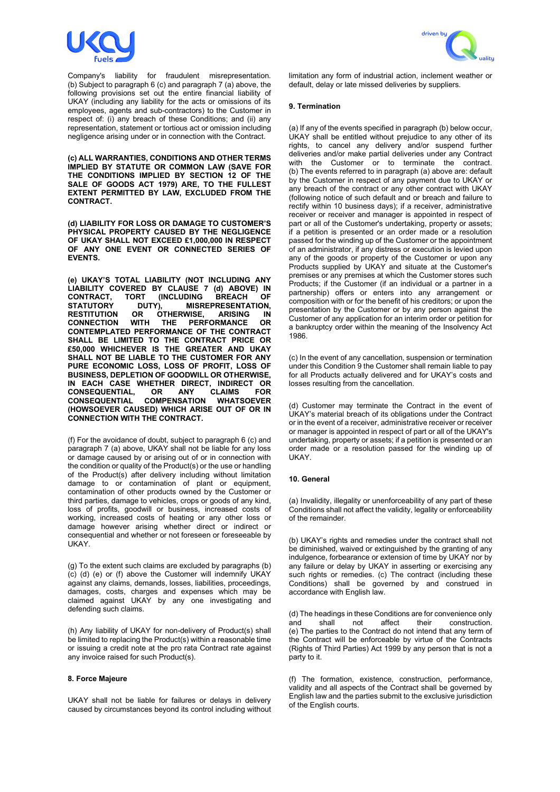

Company's liability for fraudulent misrepresentation. (b) Subject to paragraph 6 (c) and paragraph 7 (a) above, the following provisions set out the entire financial liability of UKAY (including any liability for the acts or omissions of its employees, agents and sub-contractors) to the Customer in respect of: (i) any breach of these Conditions; and (ii) any representation, statement or tortious act or omission including negligence arising under or in connection with the Contract.

**(c) ALL WARRANTIES, CONDITIONS AND OTHER TERMS IMPLIED BY STATUTE OR COMMON LAW (SAVE FOR THE CONDITIONS IMPLIED BY SECTION 12 OF THE SALE OF GOODS ACT 1979) ARE, TO THE FULLEST EXTENT PERMITTED BY LAW, EXCLUDED FROM THE CONTRACT.** 

**(d) LIABILITY FOR LOSS OR DAMAGE TO CUSTOMER'S PHYSICAL PROPERTY CAUSED BY THE NEGLIGENCE OF UKAY SHALL NOT EXCEED £1,000,000 IN RESPECT OF ANY ONE EVENT OR CONNECTED SERIES OF EVENTS.**

**(e) UKAY'S TOTAL LIABILITY (NOT INCLUDING ANY LIABILITY COVERED BY CLAUSE 7 (d) ABOVE) IN CONTRACT, TORT (INCLUDING STATUTORY DUTY), MISR STATUTORY DUTY), MISREPRESENTATION, RESTITUTION OR ÖTHERWISE, ARISING IN CONNECTION WITH THE PERFORMANCE OR PERFORMANCE CONTEMPLATED PERFORMANCE OF THE CONTRACT SHALL BE LIMITED TO THE CONTRACT PRICE OR £50,000 WHICHEVER IS THE GREATER AND UKAY SHALL NOT BE LIABLE TO THE CUSTOMER FOR ANY PURE ECONOMIC LOSS, LOSS OF PROFIT, LOSS OF BUSINESS, DEPLETION OF GOODWILL OR OTHERWISE, IN EACH CASE WHETHER DIRECT, INDIRECT OR CONSEQUENTIAL, OR ANY CLAIMS FOR CONSEQUENTIAL COMPENSATION WHATSOEVER (HOWSOEVER CAUSED) WHICH ARISE OUT OF OR IN CONNECTION WITH THE CONTRACT.** 

(f) For the avoidance of doubt, subject to paragraph 6 (c) and paragraph 7 (a) above, UKAY shall not be liable for any loss or damage caused by or arising out of or in connection with the condition or quality of the Product(s) or the use or handling of the Product(s) after delivery including without limitation damage to or contamination of plant or equipment, contamination of other products owned by the Customer or third parties, damage to vehicles, crops or goods of any kind, loss of profits, goodwill or business, increased costs of working, increased costs of heating or any other loss or damage however arising whether direct or indirect or consequential and whether or not foreseen or foreseeable by UKAY.

(g) To the extent such claims are excluded by paragraphs (b) (c) (d) (e) or (f) above the Customer will indemnify UKAY against any claims, demands, losses, liabilities, proceedings, damages, costs, charges and expenses which may be claimed against UKAY by any one investigating and defending such claims.

(h) Any liability of UKAY for non-delivery of Product(s) shall be limited to replacing the Product(s) within a reasonable time or issuing a credit note at the pro rata Contract rate against any invoice raised for such Product(s).

#### **8. Force Majeure**

UKAY shall not be liable for failures or delays in delivery caused by circumstances beyond its control including without



limitation any form of industrial action, inclement weather or default, delay or late missed deliveries by suppliers.

#### **9. Termination**

(a) If any of the events specified in paragraph (b) below occur, UKAY shall be entitled without prejudice to any other of its rights, to cancel any delivery and/or suspend further deliveries and/or make partial deliveries under any Contract with the Customer or to terminate the contract. (b) The events referred to in paragraph (a) above are: default by the Customer in respect of any payment due to UKAY or any breach of the contract or any other contract with UKAY (following notice of such default and or breach and failure to rectify within 10 business days); if a receiver, administrative receiver or receiver and manager is appointed in respect of part or all of the Customer's undertaking, property or assets; if a petition is presented or an order made or a resolution passed for the winding up of the Customer or the appointment of an administrator, if any distress or execution is levied upon any of the goods or property of the Customer or upon any Products supplied by UKAY and situate at the Customer's premises or any premises at which the Customer stores such Products; if the Customer (if an individual or a partner in a partnership) offers or enters into any arrangement or composition with or for the benefit of his creditors; or upon the presentation by the Customer or by any person against the Customer of any application for an interim order or petition for a bankruptcy order within the meaning of the Insolvency Act 1986.

(c) In the event of any cancellation, suspension or termination under this Condition 9 the Customer shall remain liable to pay for all Products actually delivered and for UKAY's costs and losses resulting from the cancellation.

(d) Customer may terminate the Contract in the event of UKAY's material breach of its obligations under the Contract or in the event of a receiver, administrative receiver or receiver or manager is appointed in respect of part or all of the UKAY's undertaking, property or assets; if a petition is presented or an order made or a resolution passed for the winding up of UKAY.

#### **10. General**

(a) Invalidity, illegality or unenforceability of any part of these Conditions shall not affect the validity, legality or enforceability of the remainder.

(b) UKAY's rights and remedies under the contract shall not be diminished, waived or extinguished by the granting of any indulgence, forbearance or extension of time by UKAY nor by any failure or delay by UKAY in asserting or exercising any such rights or remedies. (c) The contract (including these Conditions) shall be governed by and construed in accordance with English law.

(d) The headings in these Conditions are for convenience only<br>and shall not affect their construction. construction. (e) The parties to the Contract do not intend that any term of the Contract will be enforceable by virtue of the Contracts (Rights of Third Parties) Act 1999 by any person that is not a party to it.

(f) The formation, existence, construction, performance, validity and all aspects of the Contract shall be governed by English law and the parties submit to the exclusive jurisdiction of the English courts.